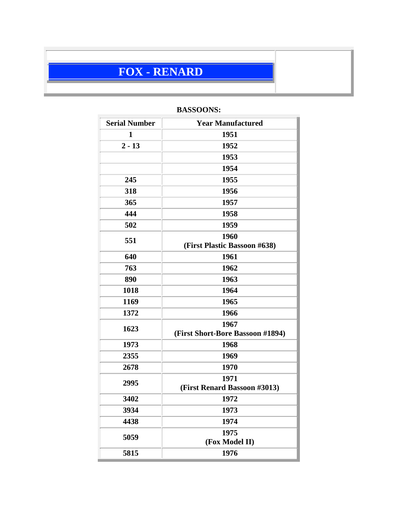# **FOX - RENARD**

| <b>Serial Number</b> | <b>Year Manufactured</b>         |  |
|----------------------|----------------------------------|--|
| $\mathbf{1}$         | 1951                             |  |
| $2 - 13$             | 1952                             |  |
|                      | 1953                             |  |
|                      | 1954                             |  |
| 245                  | 1955                             |  |
| 318                  | 1956                             |  |
| 365                  | 1957                             |  |
| 444                  | 1958                             |  |
| 502                  | 1959                             |  |
| 551                  | 1960                             |  |
|                      | (First Plastic Bassoon #638)     |  |
| 640                  | 1961                             |  |
| 763                  | 1962                             |  |
| 890                  | 1963                             |  |
| 1018                 | 1964                             |  |
| 1169                 | 1965                             |  |
| 1372                 | 1966                             |  |
| 1623                 | 1967                             |  |
|                      | (First Short-Bore Bassoon #1894) |  |
| 1973                 | 1968                             |  |
| 2355                 | 1969                             |  |
| 2678                 | 1970                             |  |
| 2995                 | 1971                             |  |
|                      | (First Renard Bassoon #3013)     |  |
| 3402                 | 1972                             |  |
| 3934                 | 1973                             |  |
| 4438                 | 1974                             |  |
| 5059                 | 1975                             |  |
|                      | (Fox Model II)                   |  |
| 5815                 | 1976                             |  |

# **BASSOONS:**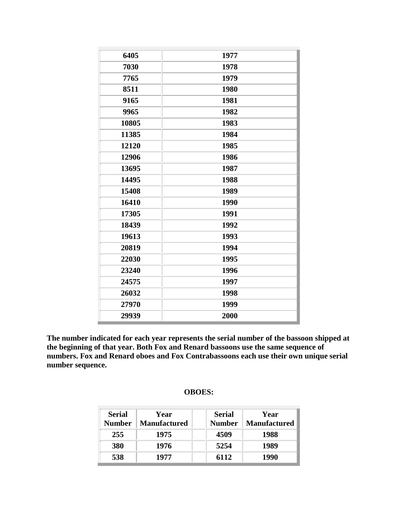| 6405  | 1977 |
|-------|------|
| 7030  | 1978 |
| 7765  | 1979 |
| 8511  | 1980 |
| 9165  | 1981 |
| 9965  | 1982 |
| 10805 | 1983 |
| 11385 | 1984 |
| 12120 | 1985 |
| 12906 | 1986 |
| 13695 | 1987 |
| 14495 | 1988 |
| 15408 | 1989 |
| 16410 | 1990 |
| 17305 | 1991 |
| 18439 | 1992 |
| 19613 | 1993 |
| 20819 | 1994 |
| 22030 | 1995 |
| 23240 | 1996 |
| 24575 | 1997 |
| 26032 | 1998 |
| 27970 | 1999 |
| 29939 | 2000 |
|       |      |

**The number indicated for each year represents the serial number of the bassoon shipped at the beginning of that year. Both Fox and Renard bassoons use the same sequence of numbers. Fox and Renard oboes and Fox Contrabassoons each use their own unique serial number sequence.**

| <b>Serial</b><br><b>Number</b> | Year<br><b>Manufactured</b> | <b>Serial</b><br><b>Number</b> | Year<br><b>Manufactured</b> |
|--------------------------------|-----------------------------|--------------------------------|-----------------------------|
| 255                            | 1975                        | 4509                           | 1988                        |
| 380                            | 1976                        | 5254                           | 1989                        |
| 538                            | 1977                        | 6112                           | 1990                        |

## **OBOES:**